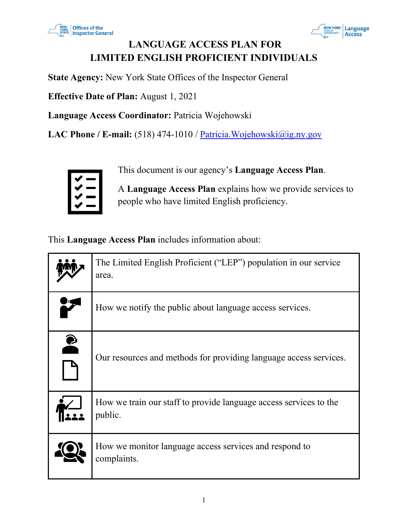



# **LANGUAGE ACCESS PLAN FOR LIMITED ENGLISH PROFICIENT INDIVIDUALS**

**State Agency:** New York State Offices of the Inspector General

**Effective Date of Plan:** August 1, 2021

**Language Access Coordinator:** Patricia Wojehowski

LAC Phone / E-mail: (518) 474-1010 / Patricia. Wojehowski@ig.ny.gov



This document is our agency's **Language Access Plan**.

A **Language Access Plan** explains how we provide services to people who have limited English proficiency.

This **Language Access Plan** includes information about:

|           | The Limited English Proficient ("LEP") population in our service<br>area.    |
|-----------|------------------------------------------------------------------------------|
|           | How we notify the public about language access services.                     |
| $\bullet$ | Our resources and methods for providing language access services.            |
|           | How we train our staff to provide language access services to the<br>public. |
|           | How we monitor language access services and respond to<br>complaints.        |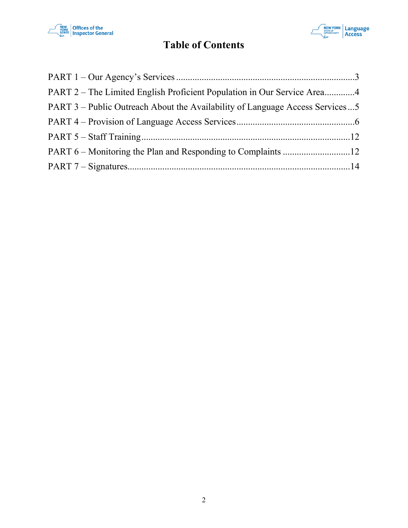



# **Table of Contents**

| PART 2 – The Limited English Proficient Population in Our Service Area4      |  |
|------------------------------------------------------------------------------|--|
| PART 3 – Public Outreach About the Availability of Language Access Services5 |  |
|                                                                              |  |
|                                                                              |  |
|                                                                              |  |
|                                                                              |  |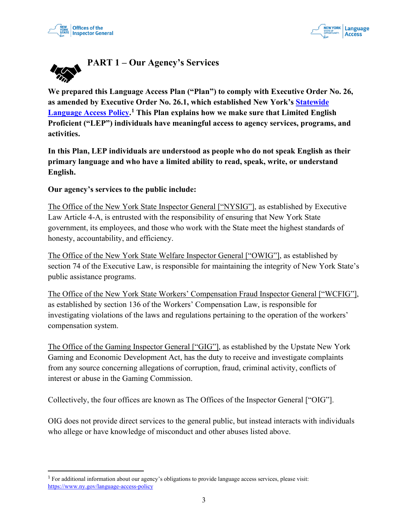



<span id="page-2-0"></span>

**We prepared this Language Access Plan ("Plan") to comply with Executive Order No. 26, as amended by Executive Order No. 26.1, which established New York's Statewide Language Access Policy. [1](#page-2-1) This Plan explains how we make sure that Limited English Proficient ("LEP") individuals have meaningful access to agency services, programs, and activities.**

**In this Plan, LEP individuals are understood as people who do not speak English as their primary language and who have a limited ability to read, speak, write, or understand English.** 

**Our agency's services to the public include:**

The Office of the New York State Inspector General ["NYSIG"], as established by Executive Law Article 4-A, is entrusted with the responsibility of ensuring that New York State government, its employees, and those who work with the State meet the highest standards of honesty, accountability, and efficiency.

The Office of the New York State Welfare Inspector General ["OWIG"], as established by section 74 of the Executive Law, is responsible for maintaining the integrity of New York State's public assistance programs.

The Office of the New York State Workers' Compensation Fraud Inspector General ["WCFIG"], as established by section 136 of the Workers' Compensation Law, is responsible for investigating violations of the laws and regulations pertaining to the operation of the workers' compensation system.

The Office of the Gaming Inspector General ["GIG"], as established by the Upstate New York Gaming and Economic Development Act, has the duty to receive and investigate complaints from any source concerning allegations of corruption, fraud, criminal activity, conflicts of interest or abuse in the Gaming Commission.

Collectively, the four offices are known as The Offices of the Inspector General ["OIG"].

OIG does not provide direct services to the general public, but instead interacts with individuals who allege or have knowledge of misconduct and other abuses listed above.

<span id="page-2-1"></span><sup>1</sup> For additional information about our agency's obligations to provide language access services, please visit: https://www.ny.gov/language-access-policy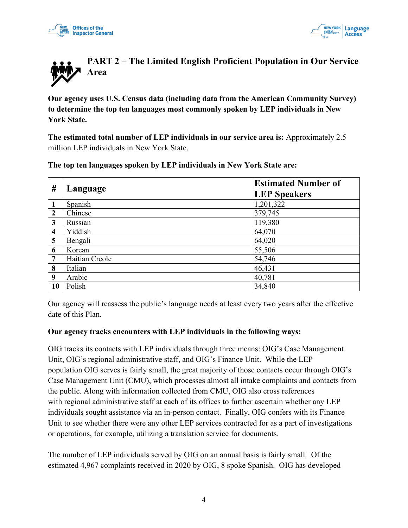



<span id="page-3-0"></span>

**Our agency uses U.S. Census data (including data from the American Community Survey) to determine the top ten languages most commonly spoken by LEP individuals in New York State.** 

**The estimated total number of LEP individuals in our service area is:** Approximately 2.5 million LEP individuals in New York State.

| $\#$             | Language       | <b>Estimated Number of</b><br><b>LEP Speakers</b> |
|------------------|----------------|---------------------------------------------------|
| $\mathbf{1}$     | Spanish        | 1,201,322                                         |
| $\overline{2}$   | Chinese        | 379,745                                           |
| $\mathbf{3}$     | Russian        | 119,380                                           |
| $\boldsymbol{4}$ | Yiddish        | 64,070                                            |
| 5                | Bengali        | 64,020                                            |
| 6                | Korean         | 55,506                                            |
| $7\phantom{.0}$  | Haitian Creole | 54,746                                            |
| 8                | Italian        | 46,431                                            |
| 9                | Arabic         | 40,781                                            |
| 10               | Polish         | 34,840                                            |

**The top ten languages spoken by LEP individuals in New York State are:**

Our agency will reassess the public's language needs at least every two years after the effective date of this Plan.

#### **Our agency tracks encounters with LEP individuals in the following ways:**

OIG tracks its contacts with LEP individuals through three means: OIG's Case Management Unit, OIG's regional administrative staff, and OIG's Finance Unit. While the LEP population OIG serves is fairly small, the great majority of those contacts occur through OIG's Case Management Unit (CMU), which processes almost all intake complaints and contacts from the public. Along with information collected from CMU, OIG also cross references with regional administrative staff at each of its offices to further ascertain whether any LEP individuals sought assistance via an in-person contact. Finally, OIG confers with its Finance Unit to see whether there were any other LEP services contracted for as a part of investigations or operations, for example, utilizing a translation service for documents.

The number of LEP individuals served by OIG on an annual basis is fairly small. Of the estimated 4,967 complaints received in 2020 by OIG, 8 spoke Spanish. OIG has developed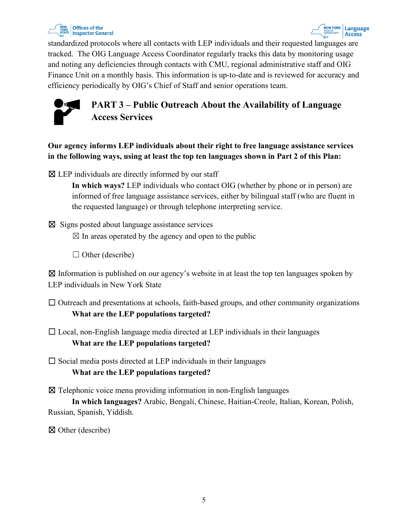

standardized protocols where all contacts with LEP individuals and their requested languages are tracked. The OIG Language Access Coordinator regularly tracks this data by monitoring usage and noting any deficiencies through contacts with CMU, regional administrative staff and OIG Finance Unit on a monthly basis. This information is up-to-date and is reviewed for accuracy and efficiency periodically by OIG's Chief of Staff and senior operations team.

<span id="page-4-0"></span>

**Our agency informs LEP individuals about their right to free language assistance services in the following ways, using at least the top ten languages shown in Part 2 of this Plan:**

 $\boxtimes$  LEP individuals are directly informed by our staff

**In which ways?** LEP individuals who contact OIG (whether by phone or in person) are informed of free language assistance services, either by bilingual staff (who are fluent in the requested language) or through telephone interpreting service.

 $\boxtimes$  Signs posted about language assistance services

 $\boxtimes$  In areas operated by the agency and open to the public

 $\Box$  Other (describe)

 $\boxtimes$  Information is published on our agency's website in at least the top ten languages spoken by LEP individuals in New York State

- $\Box$  Outreach and presentations at schools, faith-based groups, and other community organizations **What are the LEP populations targeted?**
- $\Box$  Local, non-English language media directed at LEP individuals in their languages **What are the LEP populations targeted?**

 $\Box$  Social media posts directed at LEP individuals in their languages **What are the LEP populations targeted?**

 $\boxtimes$  Telephonic voice menu providing information in non-English languages

**In which languages?** Arabic, Bengali, Chinese, Haitian-Creole, Italian, Korean, Polish, Russian, Spanish, Yiddish.

☒ Other (describe)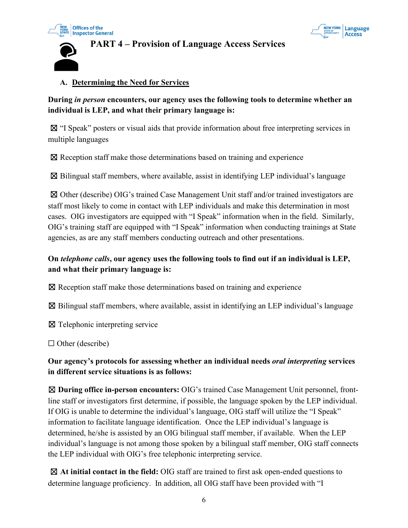

#### **NEW YORK Language** Access

# <span id="page-5-0"></span>**PART 4 – Provision of Language Access Services**

### **A. Determining the Need for Services**

**During** *in person* **encounters, our agency uses the following tools to determine whether an individual is LEP, and what their primary language is:**

☒ "I Speak" posters or visual aids that provide information about free interpreting services in multiple languages

☒ Reception staff make those determinations based on training and experience

 $\boxtimes$  Bilingual staff members, where available, assist in identifying LEP individual's language

☒ Other (describe) OIG's trained Case Management Unit staff and/or trained investigators are staff most likely to come in contact with LEP individuals and make this determination in most cases. OIG investigators are equipped with "I Speak" information when in the field. Similarly, OIG's training staff are equipped with "I Speak" information when conducting trainings at State agencies, as are any staff members conducting outreach and other presentations.

# **On** *telephone calls***, our agency uses the following tools to find out if an individual is LEP, and what their primary language is:**

☒ Reception staff make those determinations based on training and experience

 $\boxtimes$  Bilingual staff members, where available, assist in identifying an LEP individual's language

☒ Telephonic interpreting service

 $\Box$  Other (describe)

## **Our agency's protocols for assessing whether an individual needs** *oral interpreting* **services in different service situations is as follows:**

☒ **During office in-person encounters:** OIG's trained Case Management Unit personnel, frontline staff or investigators first determine, if possible, the language spoken by the LEP individual. If OIG is unable to determine the individual's language, OIG staff will utilize the "I Speak" information to facilitate language identification. Once the LEP individual's language is determined, he/she is assisted by an OIG bilingual staff member, if available. When the LEP individual's language is not among those spoken by a bilingual staff member, OIG staff connects the LEP individual with OIG's free telephonic interpreting service.

☒ **At initial contact in the field:** OIG staff are trained to first ask open-ended questions to determine language proficiency. In addition, all OIG staff have been provided with "I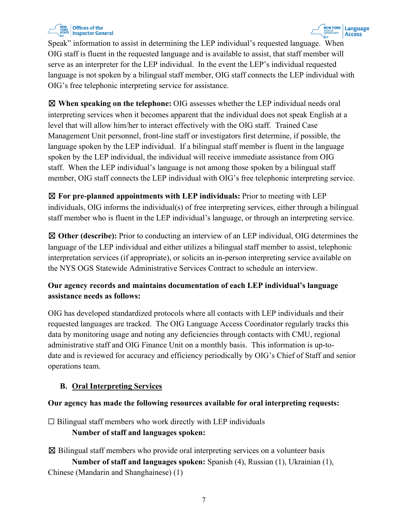

Speak" information to assist in determining the LEP individual's requested language. When OIG staff is fluent in the requested language and is available to assist, that staff member will serve as an interpreter for the LEP individual. In the event the LEP's individual requested language is not spoken by a bilingual staff member, OIG staff connects the LEP individual with OIG's free telephonic interpreting service for assistance.

☒ **When speaking on the telephone:** OIG assesses whether the LEP individual needs oral interpreting services when it becomes apparent that the individual does not speak English at a level that will allow him/her to interact effectively with the OIG staff. Trained Case Management Unit personnel, front-line staff or investigators first determine, if possible, the language spoken by the LEP individual. If a bilingual staff member is fluent in the language spoken by the LEP individual, the individual will receive immediate assistance from OIG staff. When the LEP individual's language is not among those spoken by a bilingual staff member, OIG staff connects the LEP individual with OIG's free telephonic interpreting service.

☒ **For pre-planned appointments with LEP individuals:** Prior to meeting with LEP individuals, OIG informs the individual(s) of free interpreting services, either through a bilingual staff member who is fluent in the LEP individual's language, or through an interpreting service.

☒ **Other (describe):** Prior to conducting an interview of an LEP individual, OIG determines the language of the LEP individual and either utilizes a bilingual staff member to assist, telephonic interpretation services (if appropriate), or solicits an in-person interpreting service available on the NYS OGS Statewide Administrative Services Contract to schedule an interview.

# **Our agency records and maintains documentation of each LEP individual's language assistance needs as follows:**

OIG has developed standardized protocols where all contacts with LEP individuals and their requested languages are tracked. The OIG Language Access Coordinator regularly tracks this data by monitoring usage and noting any deficiencies through contacts with CMU, regional administrative staff and OIG Finance Unit on a monthly basis. This information is up-todate and is reviewed for accuracy and efficiency periodically by OIG's Chief of Staff and senior operations team.

# **B. Oral Interpreting Services**

### **Our agency has made the following resources available for oral interpreting requests:**

 $\Box$  Bilingual staff members who work directly with LEP individuals

# **Number of staff and languages spoken:**

 $\boxtimes$  Bilingual staff members who provide oral interpreting services on a volunteer basis **Number of staff and languages spoken:** Spanish (4), Russian (1), Ukrainian (1), Chinese (Mandarin and Shanghainese) (1)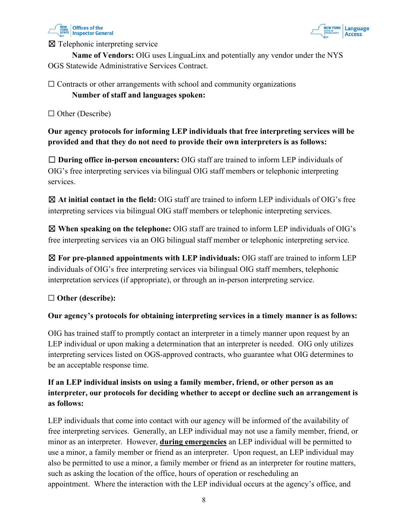



☒ Telephonic interpreting service

**Name of Vendors:** OIG uses LinguaLinx and potentially any vendor under the NYS OGS Statewide Administrative Services Contract.

# $\Box$  Contracts or other arrangements with school and community organizations **Number of staff and languages spoken:**

□ Other (Describe)

**Our agency protocols for informing LEP individuals that free interpreting services will be provided and that they do not need to provide their own interpreters is as follows:**

☐ **During office in-person encounters:** OIG staff are trained to inform LEP individuals of OIG's free interpreting services via bilingual OIG staff members or telephonic interpreting services.

☒ **At initial contact in the field:** OIG staff are trained to inform LEP individuals of OIG's free interpreting services via bilingual OIG staff members or telephonic interpreting services.

☒ **When speaking on the telephone:** OIG staff are trained to inform LEP individuals of OIG's free interpreting services via an OIG bilingual staff member or telephonic interpreting service.

☒ **For pre-planned appointments with LEP individuals:** OIG staff are trained to inform LEP individuals of OIG's free interpreting services via bilingual OIG staff members, telephonic interpretation services (if appropriate), or through an in-person interpreting service.

### ☐ **Other (describe):**

### **Our agency's protocols for obtaining interpreting services in a timely manner is as follows:**

OIG has trained staff to promptly contact an interpreter in a timely manner upon request by an LEP individual or upon making a determination that an interpreter is needed. OIG only utilizes interpreting services listed on OGS-approved contracts, who guarantee what OIG determines to be an acceptable response time.

# **If an LEP individual insists on using a family member, friend, or other person as an interpreter, our protocols for deciding whether to accept or decline such an arrangement is as follows:**

LEP individuals that come into contact with our agency will be informed of the availability of free interpreting services. Generally, an LEP individual may not use a family member, friend, or minor as an interpreter. However, **during emergencies** an LEP individual will be permitted to use a minor, a family member or friend as an interpreter. Upon request, an LEP individual may also be permitted to use a minor, a family member or friend as an interpreter for routine matters, such as asking the location of the office, hours of operation or rescheduling an appointment. Where the interaction with the LEP individual occurs at the agency's office, and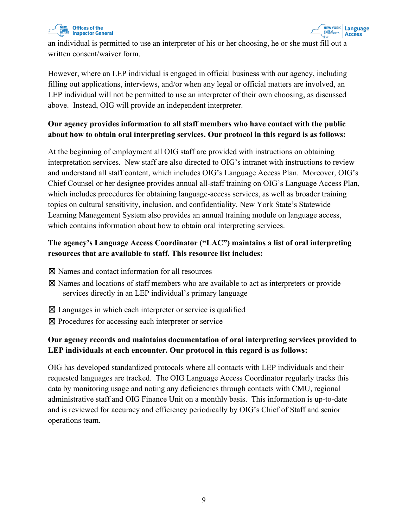



an individual is permitted to use an interpreter of his or her choosing, he or she must fill out a written consent/waiver form.

However, where an LEP individual is engaged in official business with our agency, including filling out applications, interviews, and/or when any legal or official matters are involved, an LEP individual will not be permitted to use an interpreter of their own choosing, as discussed above. Instead, OIG will provide an independent interpreter.

# **Our agency provides information to all staff members who have contact with the public about how to obtain oral interpreting services. Our protocol in this regard is as follows:**

At the beginning of employment all OIG staff are provided with instructions on obtaining interpretation services. New staff are also directed to OIG's intranet with instructions to review and understand all staff content, which includes OIG's Language Access Plan. Moreover, OIG's Chief Counsel or her designee provides annual all-staff training on OIG's Language Access Plan, which includes procedures for obtaining language-access services, as well as broader training topics on cultural sensitivity, inclusion, and confidentiality. New York State's Statewide Learning Management System also provides an annual training module on language access, which contains information about how to obtain oral interpreting services.

# **The agency's Language Access Coordinator ("LAC") maintains a list of oral interpreting resources that are available to staff. This resource list includes:**

- ☒ Names and contact information for all resources
- ☒ Names and locations of staff members who are available to act as interpreters or provide services directly in an LEP individual's primary language
- $\boxtimes$  Languages in which each interpreter or service is qualified
- ⊠ Procedures for accessing each interpreter or service

# **Our agency records and maintains documentation of oral interpreting services provided to LEP individuals at each encounter. Our protocol in this regard is as follows:**

OIG has developed standardized protocols where all contacts with LEP individuals and their requested languages are tracked. The OIG Language Access Coordinator regularly tracks this data by monitoring usage and noting any deficiencies through contacts with CMU, regional administrative staff and OIG Finance Unit on a monthly basis. This information is up-to-date and is reviewed for accuracy and efficiency periodically by OIG's Chief of Staff and senior operations team.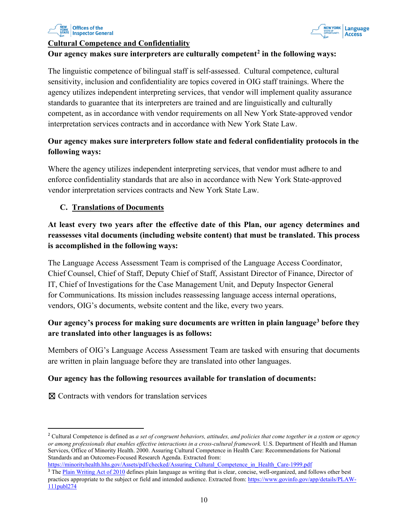



#### **Cultural Competence and Confidentiality**

#### **Our agency makes sure interpreters are culturally competent[2](#page-9-0) in the following ways:**

The linguistic competence of bilingual staff is self-assessed. Cultural competence, cultural sensitivity, inclusion and confidentiality are topics covered in OIG staff trainings. Where the agency utilizes independent interpreting services, that vendor will implement quality assurance standards to guarantee that its interpreters are trained and are linguistically and culturally competent, as in accordance with vendor requirements on all New York State-approved vendor interpretation services contracts and in accordance with New York State Law.

# **Our agency makes sure interpreters follow state and federal confidentiality protocols in the following ways:**

Where the agency utilizes independent interpreting services, that vendor must adhere to and enforce confidentiality standards that are also in accordance with New York State-approved vendor interpretation services contracts and New York State Law.

#### **C. Translations of Documents**

**At least every two years after the effective date of this Plan, our agency determines and reassesses vital documents (including website content) that must be translated. This process is accomplished in the following ways:**

The Language Access Assessment Team is comprised of the Language Access Coordinator, Chief Counsel, Chief of Staff, Deputy Chief of Staff, Assistant Director of Finance, Director of IT, Chief of Investigations for the Case Management Unit, and Deputy Inspector General for Communications. Its mission includes reassessing language access internal operations, vendors, OIG's documents, website content and the like, every two years.

## **Our agency's process for making sure documents are written in plain languag[e3](#page-9-1) before they are translated into other languages is as follows:**

Members of OIG's Language Access Assessment Team are tasked with ensuring that documents are written in plain language before they are translated into other languages.

#### **Our agency has the following resources available for translation of documents:**

☒ Contracts with vendors for translation services

```
https://minorityhealth.hhs.gov/Assets/pdf/checked/Assuring_Cultural_Competence_in_Health_Care-1999.pdf
```
<span id="page-9-0"></span><sup>2</sup> Cultural Competence is defined as *a set of congruent behaviors, attitudes, and policies that come together in a system or agency or among professionals that enables effective interactions in a cross-cultural framework.* U.S. Department of Health and Human Services, Office of Minority Health. 2000. Assuring Cultural Competence in Health Care: Recommendations for National Standards and an Outcomes-Focused Research Agenda. Extracted from:

<span id="page-9-1"></span><sup>&</sup>lt;sup>3</sup> The Plain Writing Act of 2010 defines plain language as writing that is clear, concise, well-organized, and follows other best practices appropriate to the subject or field and intended audience. Extracted from: https://www.govinfo.gov/app/details/PLAW-111publ274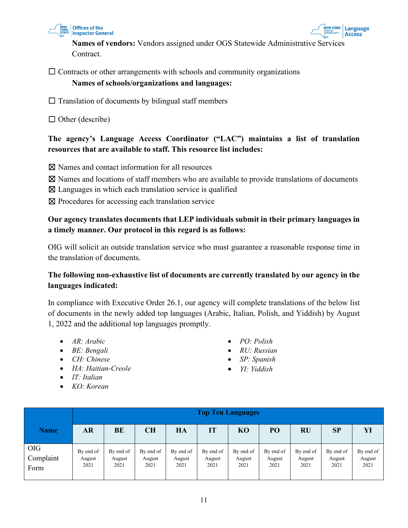



**Names of vendors:** Vendors assigned under OGS Statewide Administrative Services Contract.

 $\Box$  Contracts or other arrangements with schools and community organizations

### **Names of schools/organizations and languages:**

 $\Box$  Translation of documents by bilingual staff members

 $\Box$  Other (describe)

## **The agency's Language Access Coordinator ("LAC") maintains a list of translation resources that are available to staff. This resource list includes:**

☒ Names and contact information for all resources

- $\boxtimes$  Names and locations of staff members who are available to provide translations of documents
- $\boxtimes$  Languages in which each translation service is qualified
- ☒ Procedures for accessing each translation service

# **Our agency translates documents that LEP individuals submit in their primary languages in a timely manner. Our protocol in this regard is as follows:**

OIG will solicit an outside translation service who must guarantee a reasonable response time in the translation of documents.

## **The following non-exhaustive list of documents are currently translated by our agency in the languages indicated:**

In compliance with Executive Order 26.1, our agency will complete translations of the below list of documents in the newly added top languages (Arabic, Italian, Polish, and Yiddish) by August 1, 2022 and the additional top languages promptly.

- *AR: Arabic*
- *BE: Bengali*
- *CH: Chinese*
- *HA: Haitian-Creole*
- *IT: Italian*
- *KO: Korean*
- *PO: Polish*
- *RU: Russian*
- *SP: Spanish*
- *YI: Yiddish*

|                                 | <b>Top Ten Languages</b>    |                             |                             |                             |                             |                             |                             |                             |                             |                             |
|---------------------------------|-----------------------------|-----------------------------|-----------------------------|-----------------------------|-----------------------------|-----------------------------|-----------------------------|-----------------------------|-----------------------------|-----------------------------|
| <b>Name</b>                     | <b>AR</b>                   | BE                          | <b>CH</b>                   | HA                          | IT                          | <b>KO</b>                   | PO                          | <b>RU</b>                   | SP                          | YI                          |
| <b>OIG</b><br>Complaint<br>Form | By end of<br>August<br>2021 | By end of<br>August<br>2021 | By end of<br>August<br>2021 | By end of<br>August<br>2021 | By end of<br>August<br>2021 | By end of<br>August<br>2021 | By end of<br>August<br>2021 | By end of<br>August<br>2021 | By end of<br>August<br>2021 | By end of<br>August<br>2021 |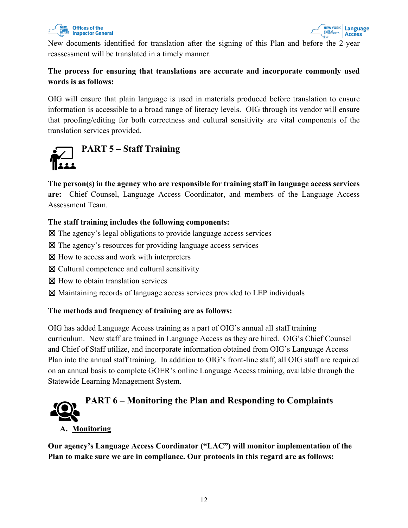

New documents identified for translation after the signing of this Plan and before the 2-year reassessment will be translated in a timely manner.

# **The process for ensuring that translations are accurate and incorporate commonly used words is as follows:**

OIG will ensure that plain language is used in materials produced before translation to ensure information is accessible to a broad range of literacy levels. OIG through its vendor will ensure that proofing/editing for both correctness and cultural sensitivity are vital components of the translation services provided.

<span id="page-11-0"></span>

**The person(s) in the agency who are responsible for training staff in language access services are:** Chief Counsel, Language Access Coordinator, and members of the Language Access Assessment Team.

## **The staff training includes the following components:**

☒ The agency's legal obligations to provide language access services

- ☒ The agency's resources for providing language access services
- ⊠ How to access and work with interpreters
- $\boxtimes$  Cultural competence and cultural sensitivity
- ⊠ How to obtain translation services
- ☒ Maintaining records of language access services provided to LEP individuals

### **The methods and frequency of training are as follows:**

OIG has added Language Access training as a part of OIG's annual all staff training curriculum. New staff are trained in Language Access as they are hired. OIG's Chief Counsel and Chief of Staff utilize, and incorporate information obtained from OIG's Language Access Plan into the annual staff training. In addition to OIG's front-line staff, all OIG staff are required on an annual basis to complete GOER's online Language Access training, available through the Statewide Learning Management System.

<span id="page-11-1"></span>

#### **A. Monitoring**

**Our agency's Language Access Coordinator ("LAC") will monitor implementation of the Plan to make sure we are in compliance. Our protocols in this regard are as follows:**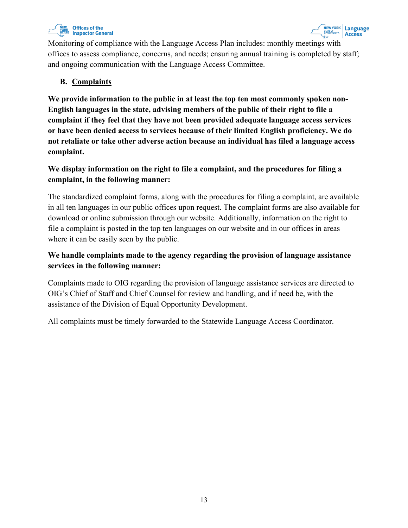

Monitoring of compliance with the Language Access Plan includes: monthly meetings with offices to assess compliance, concerns, and needs; ensuring annual training is completed by staff; and ongoing communication with the Language Access Committee.

## **B. Complaints**

**We provide information to the public in at least the top ten most commonly spoken non-English languages in the state, advising members of the public of their right to file a complaint if they feel that they have not been provided adequate language access services or have been denied access to services because of their limited English proficiency. We do not retaliate or take other adverse action because an individual has filed a language access complaint.** 

# **We display information on the right to file a complaint, and the procedures for filing a complaint, in the following manner:**

The standardized complaint forms, along with the procedures for filing a complaint, are available in all ten languages in our public offices upon request. The complaint forms are also available for download or online submission through our website. Additionally, information on the right to file a complaint is posted in the top ten languages on our website and in our offices in areas where it can be easily seen by the public.

# **We handle complaints made to the agency regarding the provision of language assistance services in the following manner:**

Complaints made to OIG regarding the provision of language assistance services are directed to OIG's Chief of Staff and Chief Counsel for review and handling, and if need be, with the assistance of the Division of Equal Opportunity Development.

<span id="page-12-0"></span>All complaints must be timely forwarded to the Statewide Language Access Coordinator.